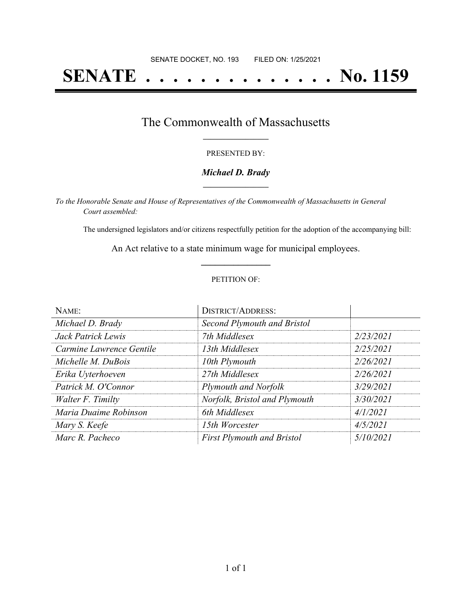# **SENATE . . . . . . . . . . . . . . No. 1159**

### The Commonwealth of Massachusetts **\_\_\_\_\_\_\_\_\_\_\_\_\_\_\_\_\_**

#### PRESENTED BY:

#### *Michael D. Brady* **\_\_\_\_\_\_\_\_\_\_\_\_\_\_\_\_\_**

*To the Honorable Senate and House of Representatives of the Commonwealth of Massachusetts in General Court assembled:*

The undersigned legislators and/or citizens respectfully petition for the adoption of the accompanying bill:

An Act relative to a state minimum wage for municipal employees. **\_\_\_\_\_\_\_\_\_\_\_\_\_\_\_**

#### PETITION OF:

| NAME:                    | <b>DISTRICT/ADDRESS:</b>          |           |
|--------------------------|-----------------------------------|-----------|
| Michael D. Brady         | Second Plymouth and Bristol       |           |
| Jack Patrick Lewis       | 7th Middlesex                     | 2/23/2021 |
| Carmine Lawrence Gentile | 13th Middlesex                    | 2/25/2021 |
| Michelle M. DuBois       | 10th Plymouth                     | 2/26/2021 |
| Erika Uyterhoeven        | 27th Middlesex                    | 2/26/2021 |
| Patrick M. O'Connor      | Plymouth and Norfolk              | 3/29/2021 |
| Walter F. Timilty        | Norfolk, Bristol and Plymouth     | 3/30/2021 |
| Maria Duaime Robinson    | 6th Middlesex                     | 4/1/2021  |
| Mary S. Keefe            | 15th Worcester                    | 4/5/2021  |
| Marc R. Pacheco          | <b>First Plymouth and Bristol</b> | 5/10/2021 |